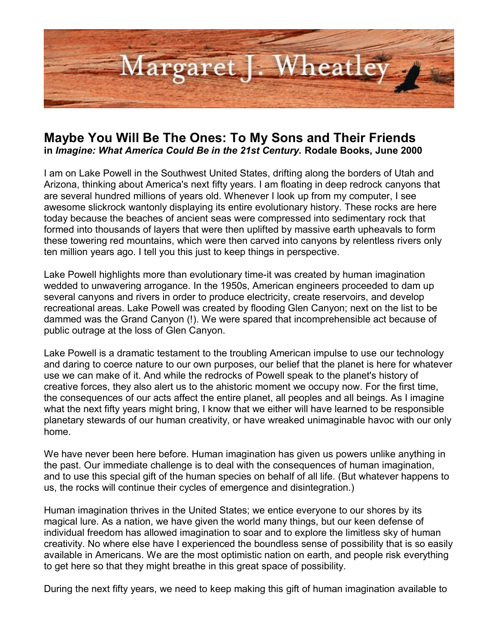

## **Maybe You Will Be The Ones: To My Sons and Their Friends in** *Imagine: What America Could Be in the 21st Century.* **Rodale Books, June 2000**

I am on Lake Powell in the Southwest United States, drifting along the borders of Utah and Arizona, thinking about America's next fifty years. I am floating in deep redrock canyons that are several hundred millions of years old. Whenever I look up from my computer, I see awesome slickrock wantonly displaying its entire evolutionary history. These rocks are here today because the beaches of ancient seas were compressed into sedimentary rock that formed into thousands of layers that were then uplifted by massive earth upheavals to form these towering red mountains, which were then carved into canyons by relentless rivers only ten million years ago. I tell you this just to keep things in perspective.

Lake Powell highlights more than evolutionary time-it was created by human imagination wedded to unwavering arrogance. In the 1950s, American engineers proceeded to dam up several canyons and rivers in order to produce electricity, create reservoirs, and develop recreational areas. Lake Powell was created by flooding Glen Canyon; next on the list to be dammed was the Grand Canyon (!). We were spared that incomprehensible act because of public outrage at the loss of Glen Canyon.

Lake Powell is a dramatic testament to the troubling American impulse to use our technology and daring to coerce nature to our own purposes, our belief that the planet is here for whatever use we can make of it. And while the redrocks of Powell speak to the planet's history of creative forces, they also alert us to the ahistoric moment we occupy now. For the first time, the consequences of our acts affect the entire planet, all peoples and all beings. As I imagine what the next fifty years might bring, I know that we either will have learned to be responsible planetary stewards of our human creativity, or have wreaked unimaginable havoc with our only home.

We have never been here before. Human imagination has given us powers unlike anything in the past. Our immediate challenge is to deal with the consequences of human imagination, and to use this special gift of the human species on behalf of all life. (But whatever happens to us, the rocks will continue their cycles of emergence and disintegration.)

Human imagination thrives in the United States; we entice everyone to our shores by its magical lure. As a nation, we have given the world many things, but our keen defense of individual freedom has allowed imagination to soar and to explore the limitless sky of human creativity. No where else have I experienced the boundless sense of possibility that is so easily available in Americans. We are the most optimistic nation on earth, and people risk everything to get here so that they might breathe in this great space of possibility.

During the next fifty years, we need to keep making this gift of human imagination available to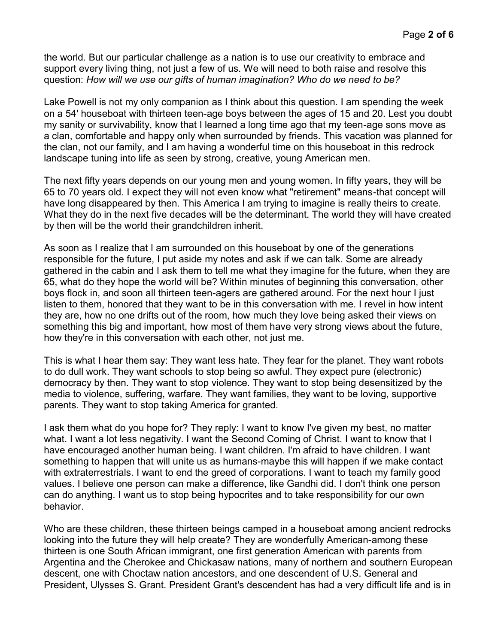the world. But our particular challenge as a nation is to use our creativity to embrace and support every living thing, not just a few of us. We will need to both raise and resolve this question: *How will we use our gifts of human imagination? Who do we need to be?*

Lake Powell is not my only companion as I think about this question. I am spending the week on a 54' houseboat with thirteen teen-age boys between the ages of 15 and 20. Lest you doubt my sanity or survivability, know that I learned a long time ago that my teen-age sons move as a clan, comfortable and happy only when surrounded by friends. This vacation was planned for the clan, not our family, and I am having a wonderful time on this houseboat in this redrock landscape tuning into life as seen by strong, creative, young American men.

The next fifty years depends on our young men and young women. In fifty years, they will be 65 to 70 years old. I expect they will not even know what "retirement" means-that concept will have long disappeared by then. This America I am trying to imagine is really theirs to create. What they do in the next five decades will be the determinant. The world they will have created by then will be the world their grandchildren inherit.

As soon as I realize that I am surrounded on this houseboat by one of the generations responsible for the future, I put aside my notes and ask if we can talk. Some are already gathered in the cabin and I ask them to tell me what they imagine for the future, when they are 65, what do they hope the world will be? Within minutes of beginning this conversation, other boys flock in, and soon all thirteen teen-agers are gathered around. For the next hour I just listen to them, honored that they want to be in this conversation with me. I revel in how intent they are, how no one drifts out of the room, how much they love being asked their views on something this big and important, how most of them have very strong views about the future, how they're in this conversation with each other, not just me.

This is what I hear them say: They want less hate. They fear for the planet. They want robots to do dull work. They want schools to stop being so awful. They expect pure (electronic) democracy by then. They want to stop violence. They want to stop being desensitized by the media to violence, suffering, warfare. They want families, they want to be loving, supportive parents. They want to stop taking America for granted.

I ask them what do you hope for? They reply: I want to know I've given my best, no matter what. I want a lot less negativity. I want the Second Coming of Christ. I want to know that I have encouraged another human being. I want children. I'm afraid to have children. I want something to happen that will unite us as humans-maybe this will happen if we make contact with extraterrestrials. I want to end the greed of corporations. I want to teach my family good values. I believe one person can make a difference, like Gandhi did. I don't think one person can do anything. I want us to stop being hypocrites and to take responsibility for our own behavior.

Who are these children, these thirteen beings camped in a houseboat among ancient redrocks looking into the future they will help create? They are wonderfully American-among these thirteen is one South African immigrant, one first generation American with parents from Argentina and the Cherokee and Chickasaw nations, many of northern and southern European descent, one with Choctaw nation ancestors, and one descendent of U.S. General and President, Ulysses S. Grant. President Grant's descendent has had a very difficult life and is in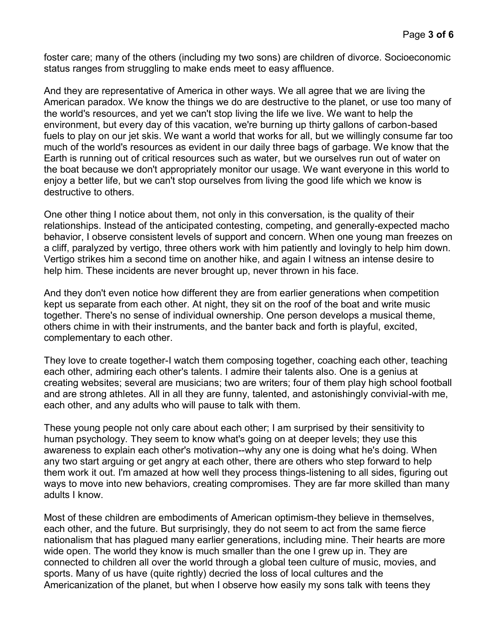foster care; many of the others (including my two sons) are children of divorce. Socioeconomic status ranges from struggling to make ends meet to easy affluence.

And they are representative of America in other ways. We all agree that we are living the American paradox. We know the things we do are destructive to the planet, or use too many of the world's resources, and yet we can't stop living the life we live. We want to help the environment, but every day of this vacation, we're burning up thirty gallons of carbon-based fuels to play on our jet skis. We want a world that works for all, but we willingly consume far too much of the world's resources as evident in our daily three bags of garbage. We know that the Earth is running out of critical resources such as water, but we ourselves run out of water on the boat because we don't appropriately monitor our usage. We want everyone in this world to enjoy a better life, but we can't stop ourselves from living the good life which we know is destructive to others.

One other thing I notice about them, not only in this conversation, is the quality of their relationships. Instead of the anticipated contesting, competing, and generally-expected macho behavior, I observe consistent levels of support and concern. When one young man freezes on a cliff, paralyzed by vertigo, three others work with him patiently and lovingly to help him down. Vertigo strikes him a second time on another hike, and again I witness an intense desire to help him. These incidents are never brought up, never thrown in his face.

And they don't even notice how different they are from earlier generations when competition kept us separate from each other. At night, they sit on the roof of the boat and write music together. There's no sense of individual ownership. One person develops a musical theme, others chime in with their instruments, and the banter back and forth is playful, excited, complementary to each other.

They love to create together-I watch them composing together, coaching each other, teaching each other, admiring each other's talents. I admire their talents also. One is a genius at creating websites; several are musicians; two are writers; four of them play high school football and are strong athletes. All in all they are funny, talented, and astonishingly convivial-with me, each other, and any adults who will pause to talk with them.

These young people not only care about each other; I am surprised by their sensitivity to human psychology. They seem to know what's going on at deeper levels; they use this awareness to explain each other's motivation--why any one is doing what he's doing. When any two start arguing or get angry at each other, there are others who step forward to help them work it out. I'm amazed at how well they process things-listening to all sides, figuring out ways to move into new behaviors, creating compromises. They are far more skilled than many adults I know.

Most of these children are embodiments of American optimism-they believe in themselves, each other, and the future. But surprisingly, they do not seem to act from the same fierce nationalism that has plagued many earlier generations, including mine. Their hearts are more wide open. The world they know is much smaller than the one I grew up in. They are connected to children all over the world through a global teen culture of music, movies, and sports. Many of us have (quite rightly) decried the loss of local cultures and the Americanization of the planet, but when I observe how easily my sons talk with teens they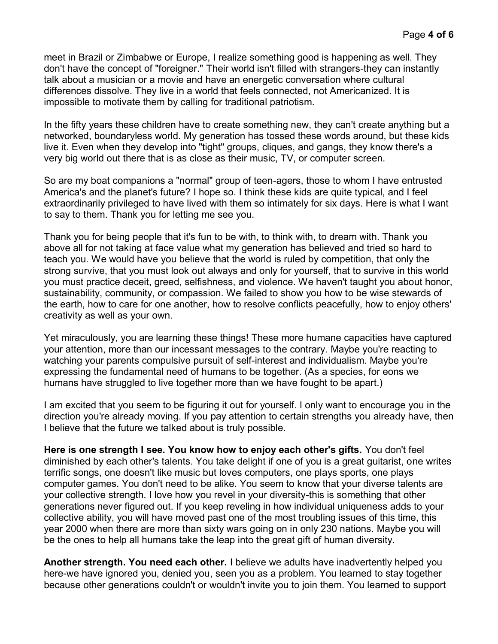meet in Brazil or Zimbabwe or Europe, I realize something good is happening as well. They don't have the concept of "foreigner." Their world isn't filled with strangers-they can instantly talk about a musician or a movie and have an energetic conversation where cultural differences dissolve. They live in a world that feels connected, not Americanized. It is impossible to motivate them by calling for traditional patriotism.

In the fifty years these children have to create something new, they can't create anything but a networked, boundaryless world. My generation has tossed these words around, but these kids live it. Even when they develop into "tight" groups, cliques, and gangs, they know there's a very big world out there that is as close as their music, TV, or computer screen.

So are my boat companions a "normal" group of teen-agers, those to whom I have entrusted America's and the planet's future? I hope so. I think these kids are quite typical, and I feel extraordinarily privileged to have lived with them so intimately for six days. Here is what I want to say to them. Thank you for letting me see you.

Thank you for being people that it's fun to be with, to think with, to dream with. Thank you above all for not taking at face value what my generation has believed and tried so hard to teach you. We would have you believe that the world is ruled by competition, that only the strong survive, that you must look out always and only for yourself, that to survive in this world you must practice deceit, greed, selfishness, and violence. We haven't taught you about honor, sustainability, community, or compassion. We failed to show you how to be wise stewards of the earth, how to care for one another, how to resolve conflicts peacefully, how to enjoy others' creativity as well as your own.

Yet miraculously, you are learning these things! These more humane capacities have captured your attention, more than our incessant messages to the contrary. Maybe you're reacting to watching your parents compulsive pursuit of self-interest and individualism. Maybe you're expressing the fundamental need of humans to be together. (As a species, for eons we humans have struggled to live together more than we have fought to be apart.)

I am excited that you seem to be figuring it out for yourself. I only want to encourage you in the direction you're already moving. If you pay attention to certain strengths you already have, then I believe that the future we talked about is truly possible.

**Here is one strength I see. You know how to enjoy each other's gifts.** You don't feel diminished by each other's talents. You take delight if one of you is a great guitarist, one writes terrific songs, one doesn't like music but loves computers, one plays sports, one plays computer games. You don't need to be alike. You seem to know that your diverse talents are your collective strength. I love how you revel in your diversity-this is something that other generations never figured out. If you keep reveling in how individual uniqueness adds to your collective ability, you will have moved past one of the most troubling issues of this time, this year 2000 when there are more than sixty wars going on in only 230 nations. Maybe you will be the ones to help all humans take the leap into the great gift of human diversity.

**Another strength. You need each other.** I believe we adults have inadvertently helped you here-we have ignored you, denied you, seen you as a problem. You learned to stay together because other generations couldn't or wouldn't invite you to join them. You learned to support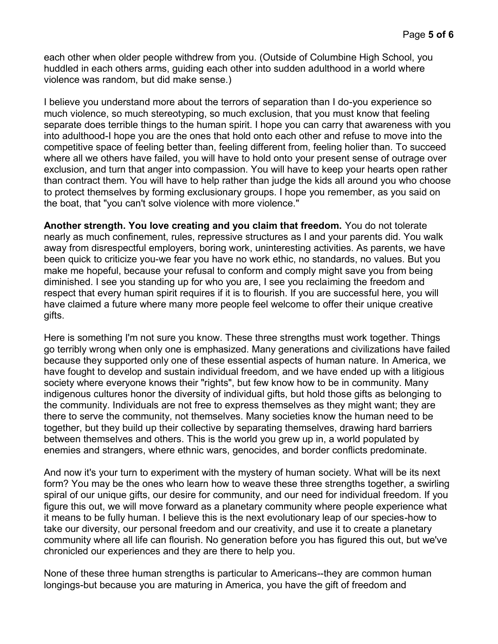each other when older people withdrew from you. (Outside of Columbine High School, you huddled in each others arms, guiding each other into sudden adulthood in a world where violence was random, but did make sense.)

I believe you understand more about the terrors of separation than I do-you experience so much violence, so much stereotyping, so much exclusion, that you must know that feeling separate does terrible things to the human spirit. I hope you can carry that awareness with you into adulthood-I hope you are the ones that hold onto each other and refuse to move into the competitive space of feeling better than, feeling different from, feeling holier than. To succeed where all we others have failed, you will have to hold onto your present sense of outrage over exclusion, and turn that anger into compassion. You will have to keep your hearts open rather than contract them. You will have to help rather than judge the kids all around you who choose to protect themselves by forming exclusionary groups. I hope you remember, as you said on the boat, that "you can't solve violence with more violence."

**Another strength. You love creating and you claim that freedom.** You do not tolerate nearly as much confinement, rules, repressive structures as I and your parents did. You walk away from disrespectful employers, boring work, uninteresting activities. As parents, we have been quick to criticize you-we fear you have no work ethic, no standards, no values. But you make me hopeful, because your refusal to conform and comply might save you from being diminished. I see you standing up for who you are, I see you reclaiming the freedom and respect that every human spirit requires if it is to flourish. If you are successful here, you will have claimed a future where many more people feel welcome to offer their unique creative gifts.

Here is something I'm not sure you know. These three strengths must work together. Things go terribly wrong when only one is emphasized. Many generations and civilizations have failed because they supported only one of these essential aspects of human nature. In America, we have fought to develop and sustain individual freedom, and we have ended up with a litigious society where everyone knows their "rights", but few know how to be in community. Many indigenous cultures honor the diversity of individual gifts, but hold those gifts as belonging to the community. Individuals are not free to express themselves as they might want; they are there to serve the community, not themselves. Many societies know the human need to be together, but they build up their collective by separating themselves, drawing hard barriers between themselves and others. This is the world you grew up in, a world populated by enemies and strangers, where ethnic wars, genocides, and border conflicts predominate.

And now it's your turn to experiment with the mystery of human society. What will be its next form? You may be the ones who learn how to weave these three strengths together, a swirling spiral of our unique gifts, our desire for community, and our need for individual freedom. If you figure this out, we will move forward as a planetary community where people experience what it means to be fully human. I believe this is the next evolutionary leap of our species-how to take our diversity, our personal freedom and our creativity, and use it to create a planetary community where all life can flourish. No generation before you has figured this out, but we've chronicled our experiences and they are there to help you.

None of these three human strengths is particular to Americans--they are common human longings-but because you are maturing in America, you have the gift of freedom and